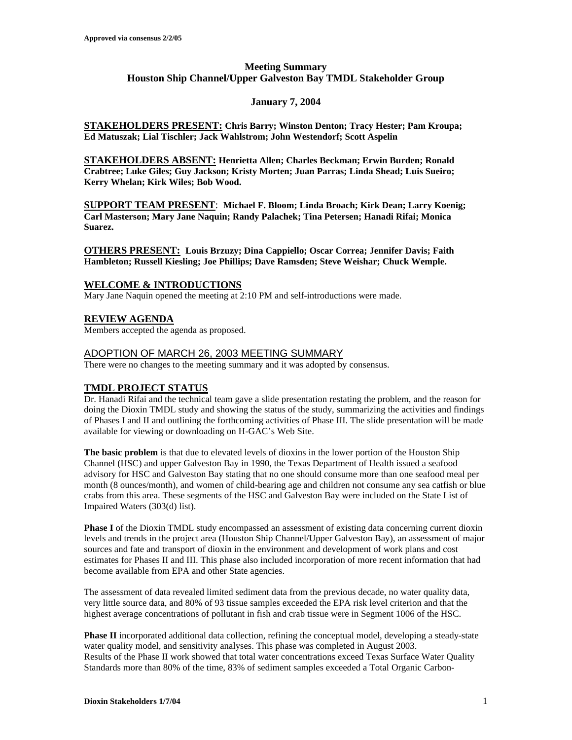# **Meeting Summary Houston Ship Channel/Upper Galveston Bay TMDL Stakeholder Group**

## **January 7, 2004**

**STAKEHOLDERS PRESENT: Chris Barry; Winston Denton; Tracy Hester; Pam Kroupa; Ed Matuszak; Lial Tischler; Jack Wahlstrom; John Westendorf; Scott Aspelin**

**STAKEHOLDERS ABSENT: Henrietta Allen; Charles Beckman; Erwin Burden; Ronald Crabtree; Luke Giles; Guy Jackson; Kristy Morten; Juan Parras; Linda Shead; Luis Sueiro; Kerry Whelan; Kirk Wiles; Bob Wood.**

**SUPPORT TEAM PRESENT**: **Michael F. Bloom; Linda Broach; Kirk Dean; Larry Koenig; Carl Masterson; Mary Jane Naquin; Randy Palachek; Tina Petersen; Hanadi Rifai; Monica Suarez.** 

**OTHERS PRESENT: Louis Brzuzy; Dina Cappiello; Oscar Correa; Jennifer Davis; Faith Hambleton; Russell Kiesling; Joe Phillips; Dave Ramsden; Steve Weishar; Chuck Wemple.**

## **WELCOME & INTRODUCTIONS**

Mary Jane Naquin opened the meeting at 2:10 PM and self-introductions were made.

## **REVIEW AGENDA**

Members accepted the agenda as proposed.

#### ADOPTION OF MARCH 26, 2003 MEETING SUMMARY

There were no changes to the meeting summary and it was adopted by consensus.

## **TMDL PROJECT STATUS**

Dr. Hanadi Rifai and the technical team gave a slide presentation restating the problem, and the reason for doing the Dioxin TMDL study and showing the status of the study, summarizing the activities and findings of Phases I and II and outlining the forthcoming activities of Phase III. The slide presentation will be made available for viewing or downloading on H-GAC's Web Site.

**The basic problem** is that due to elevated levels of dioxins in the lower portion of the Houston Ship Channel (HSC) and upper Galveston Bay in 1990, the Texas Department of Health issued a seafood advisory for HSC and Galveston Bay stating that no one should consume more than one seafood meal per month (8 ounces/month), and women of child-bearing age and children not consume any sea catfish or blue crabs from this area. These segments of the HSC and Galveston Bay were included on the State List of Impaired Waters (303(d) list).

**Phase I** of the Dioxin TMDL study encompassed an assessment of existing data concerning current dioxin levels and trends in the project area (Houston Ship Channel/Upper Galveston Bay), an assessment of major sources and fate and transport of dioxin in the environment and development of work plans and cost estimates for Phases II and III. This phase also included incorporation of more recent information that had become available from EPA and other State agencies.

The assessment of data revealed limited sediment data from the previous decade, no water quality data, very little source data, and 80% of 93 tissue samples exceeded the EPA risk level criterion and that the highest average concentrations of pollutant in fish and crab tissue were in Segment 1006 of the HSC.

**Phase II** incorporated additional data collection, refining the conceptual model, developing a steady-state water quality model, and sensitivity analyses. This phase was completed in August 2003. Results of the Phase II work showed that total water concentrations exceed Texas Surface Water Quality Standards more than 80% of the time, 83% of sediment samples exceeded a Total Organic Carbon-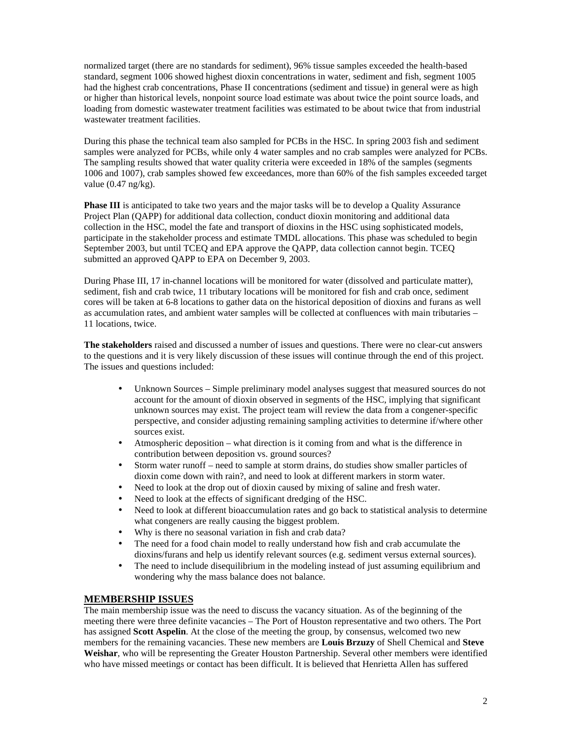normalized target (there are no standards for sediment), 96% tissue samples exceeded the health-based standard, segment 1006 showed highest dioxin concentrations in water, sediment and fish, segment 1005 had the highest crab concentrations, Phase II concentrations (sediment and tissue) in general were as high or higher than historical levels, nonpoint source load estimate was about twice the point source loads, and loading from domestic wastewater treatment facilities was estimated to be about twice that from industrial wastewater treatment facilities.

During this phase the technical team also sampled for PCBs in the HSC. In spring 2003 fish and sediment samples were analyzed for PCBs, while only 4 water samples and no crab samples were analyzed for PCBs. The sampling results showed that water quality criteria were exceeded in 18% of the samples (segments 1006 and 1007), crab samples showed few exceedances, more than 60% of the fish samples exceeded target value  $(0.47 \text{ ng/kg})$ .

**Phase III** is anticipated to take two years and the major tasks will be to develop a Quality Assurance Project Plan (QAPP) for additional data collection, conduct dioxin monitoring and additional data collection in the HSC, model the fate and transport of dioxins in the HSC using sophisticated models, participate in the stakeholder process and estimate TMDL allocations. This phase was scheduled to begin September 2003, but until TCEQ and EPA approve the QAPP, data collection cannot begin. TCEQ submitted an approved QAPP to EPA on December 9, 2003.

During Phase III, 17 in-channel locations will be monitored for water (dissolved and particulate matter), sediment, fish and crab twice, 11 tributary locations will be monitored for fish and crab once, sediment cores will be taken at 6-8 locations to gather data on the historical deposition of dioxins and furans as well as accumulation rates, and ambient water samples will be collected at confluences with main tributaries – 11 locations, twice.

**The stakeholders** raised and discussed a number of issues and questions. There were no clear-cut answers to the questions and it is very likely discussion of these issues will continue through the end of this project. The issues and questions included:

- Unknown Sources Simple preliminary model analyses suggest that measured sources do not account for the amount of dioxin observed in segments of the HSC, implying that significant unknown sources may exist. The project team will review the data from a congener-specific perspective, and consider adjusting remaining sampling activities to determine if/where other sources exist.
- Atmospheric deposition what direction is it coming from and what is the difference in contribution between deposition vs. ground sources?
- Storm water runoff need to sample at storm drains, do studies show smaller particles of dioxin come down with rain?, and need to look at different markers in storm water.
- Need to look at the drop out of dioxin caused by mixing of saline and fresh water.
- Need to look at the effects of significant dredging of the HSC.
- Need to look at different bioaccumulation rates and go back to statistical analysis to determine what congeners are really causing the biggest problem.
- Why is there no seasonal variation in fish and crab data?
- The need for a food chain model to really understand how fish and crab accumulate the dioxins/furans and help us identify relevant sources (e.g. sediment versus external sources).
- The need to include disequilibrium in the modeling instead of just assuming equilibrium and wondering why the mass balance does not balance.

## **MEMBERSHIP ISSUES**

The main membership issue was the need to discuss the vacancy situation. As of the beginning of the meeting there were three definite vacancies – The Port of Houston representative and two others. The Port has assigned **Scott Aspelin**. At the close of the meeting the group, by consensus, welcomed two new members for the remaining vacancies. These new members are **Louis Brzuzy** of Shell Chemical and **Steve Weishar**, who will be representing the Greater Houston Partnership. Several other members were identified who have missed meetings or contact has been difficult. It is believed that Henrietta Allen has suffered